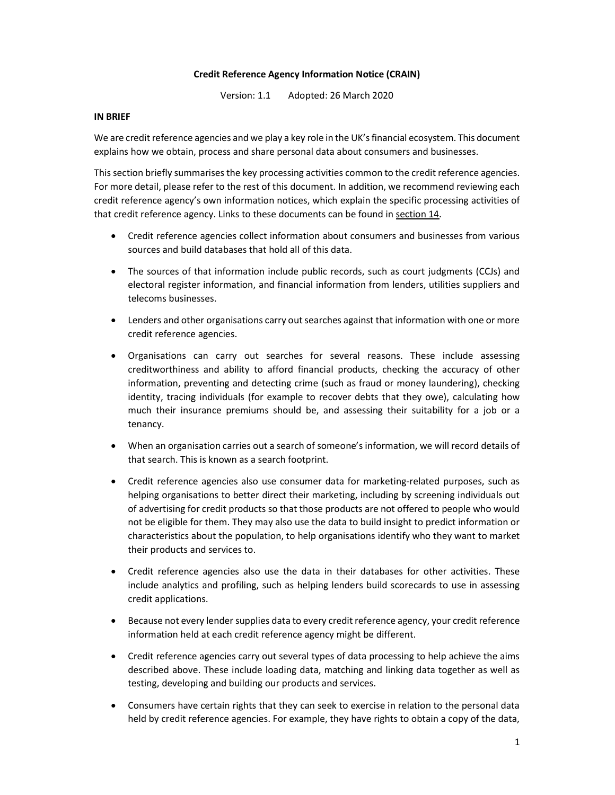## Credit Reference Agency Information Notice (CRAIN)

Version: 1.1 Adopted: 26 March 2020

#### IN BRIEF

We are credit reference agencies and we play a key role in the UK's financial ecosystem. This document explains how we obtain, process and share personal data about consumers and businesses.

This section briefly summarises the key processing activities common to the credit reference agencies. For more detail, please refer to the rest of this document. In addition, we recommend reviewing each credit reference agency's own information notices, which explain the specific processing activities of that credit reference agency. Links to these documents can be found in section 14.

- Credit reference agencies collect information about consumers and businesses from various sources and build databases that hold all of this data.
- The sources of that information include public records, such as court judgments (CCJs) and electoral register information, and financial information from lenders, utilities suppliers and telecoms businesses.
- Lenders and other organisations carry out searches against that information with one or more credit reference agencies.
- Organisations can carry out searches for several reasons. These include assessing creditworthiness and ability to afford financial products, checking the accuracy of other information, preventing and detecting crime (such as fraud or money laundering), checking identity, tracing individuals (for example to recover debts that they owe), calculating how much their insurance premiums should be, and assessing their suitability for a job or a tenancy.
- When an organisation carries out a search of someone's information, we will record details of that search. This is known as a search footprint.
- Credit reference agencies also use consumer data for marketing-related purposes, such as helping organisations to better direct their marketing, including by screening individuals out of advertising for credit products so that those products are not offered to people who would not be eligible for them. They may also use the data to build insight to predict information or characteristics about the population, to help organisations identify who they want to market their products and services to.
- Credit reference agencies also use the data in their databases for other activities. These include analytics and profiling, such as helping lenders build scorecards to use in assessing credit applications.
- Because not every lender supplies data to every credit reference agency, your credit reference information held at each credit reference agency might be different.
- Credit reference agencies carry out several types of data processing to help achieve the aims described above. These include loading data, matching and linking data together as well as testing, developing and building our products and services.
- Consumers have certain rights that they can seek to exercise in relation to the personal data held by credit reference agencies. For example, they have rights to obtain a copy of the data,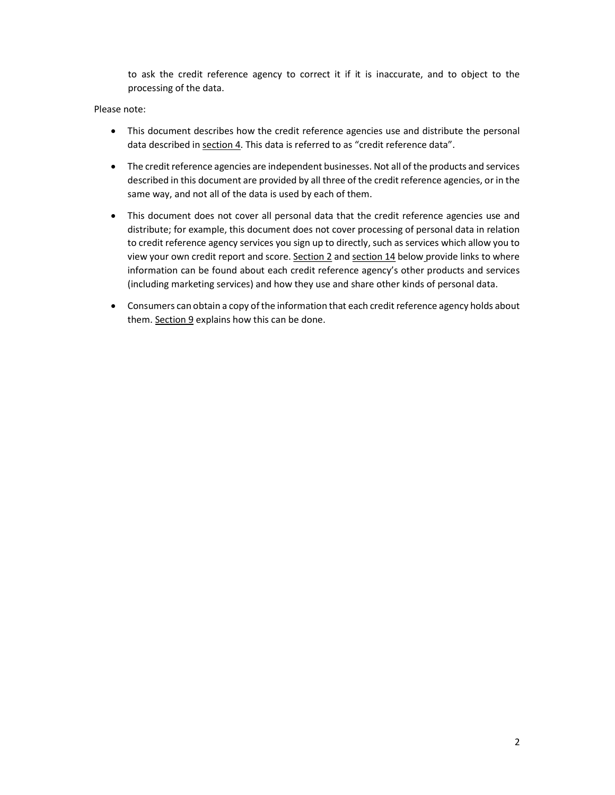to ask the credit reference agency to correct it if it is inaccurate, and to object to the processing of the data.

## Please note:

- This document describes how the credit reference agencies use and distribute the personal data described in section 4. This data is referred to as "credit reference data".
- The credit reference agencies are independent businesses. Not all of the products and services described in this document are provided by all three of the credit reference agencies, or in the same way, and not all of the data is used by each of them.
- This document does not cover all personal data that the credit reference agencies use and distribute; for example, this document does not cover processing of personal data in relation to credit reference agency services you sign up to directly, such as services which allow you to view your own credit report and score. Section 2 and section 14 below provide links to where information can be found about each credit reference agency's other products and services (including marketing services) and how they use and share other kinds of personal data.
- Consumers can obtain a copy of the information that each credit reference agency holds about them. Section 9 explains how this can be done.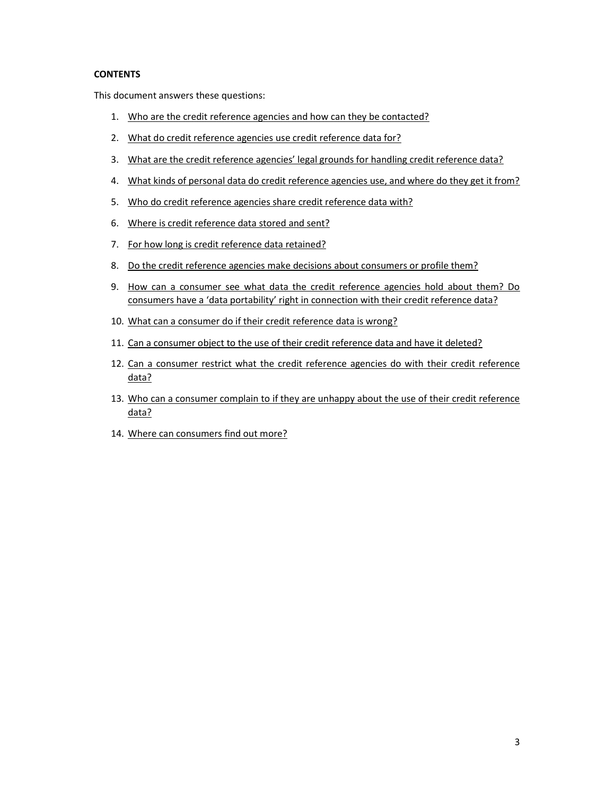## **CONTENTS**

This document answers these questions:

- 1. Who are the credit reference agencies and how can they be contacted?
- 2. What do credit reference agencies use credit reference data for?
- 3. What are the credit reference agencies' legal grounds for handling credit reference data?
- 4. What kinds of personal data do credit reference agencies use, and where do they get it from?
- 5. Who do credit reference agencies share credit reference data with?
- 6. Where is credit reference data stored and sent?
- 7. For how long is credit reference data retained?
- 8. Do the credit reference agencies make decisions about consumers or profile them?
- 9. How can a consumer see what data the credit reference agencies hold about them? Do consumers have a 'data portability' right in connection with their credit reference data?
- 10. What can a consumer do if their credit reference data is wrong?
- 11. Can a consumer object to the use of their credit reference data and have it deleted?
- 12. Can a consumer restrict what the credit reference agencies do with their credit reference data?
- 13. Who can a consumer complain to if they are unhappy about the use of their credit reference data?
- 14. Where can consumers find out more?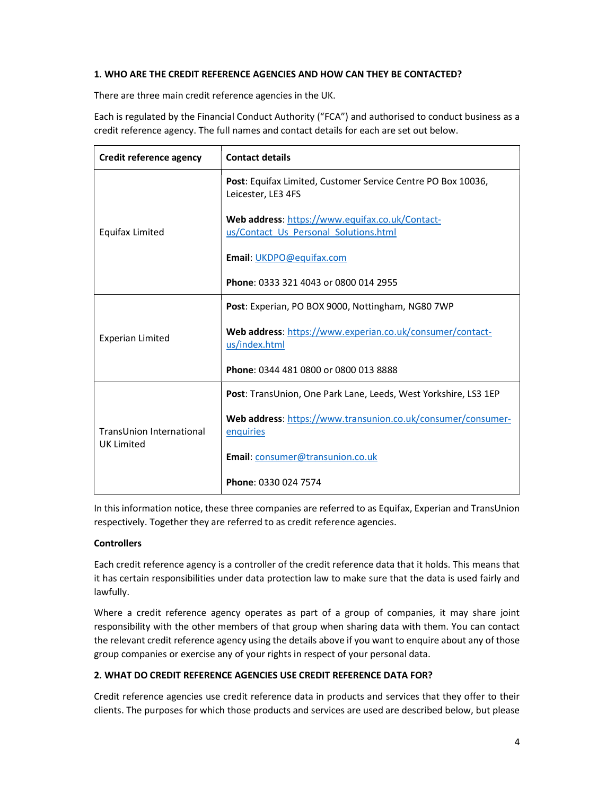# 1. WHO ARE THE CREDIT REFERENCE AGENCIES AND HOW CAN THEY BE CONTACTED?

There are three main credit reference agencies in the UK.

Each is regulated by the Financial Conduct Authority ("FCA") and authorised to conduct business as a credit reference agency. The full names and contact details for each are set out below.

| Credit reference agency                       | <b>Contact details</b>                                                                    |  |
|-----------------------------------------------|-------------------------------------------------------------------------------------------|--|
|                                               | <b>Post:</b> Equifax Limited, Customer Service Centre PO Box 10036,<br>Leicester, LE3 4FS |  |
| Equifax Limited                               | Web address: https://www.equifax.co.uk/Contact-<br>us/Contact Us Personal Solutions.html  |  |
|                                               | Email: UKDPO@equifax.com                                                                  |  |
|                                               | Phone: 0333 321 4043 or 0800 014 2955                                                     |  |
|                                               | Post: Experian, PO BOX 9000, Nottingham, NG80 7WP                                         |  |
| <b>Experian Limited</b>                       | Web address: https://www.experian.co.uk/consumer/contact-<br>us/index.html                |  |
|                                               | Phone: 0344 481 0800 or 0800 013 8888                                                     |  |
|                                               | Post: TransUnion, One Park Lane, Leeds, West Yorkshire, LS3 1EP                           |  |
| TransUnion International<br><b>UK Limited</b> | Web address: https://www.transunion.co.uk/consumer/consumer-<br>enquiries                 |  |
|                                               | Email: consumer@transunion.co.uk                                                          |  |
|                                               | Phone: 0330 024 7574                                                                      |  |

In this information notice, these three companies are referred to as Equifax, Experian and TransUnion respectively. Together they are referred to as credit reference agencies.

## **Controllers**

Each credit reference agency is a controller of the credit reference data that it holds. This means that it has certain responsibilities under data protection law to make sure that the data is used fairly and lawfully.

Where a credit reference agency operates as part of a group of companies, it may share joint responsibility with the other members of that group when sharing data with them. You can contact the relevant credit reference agency using the details above if you want to enquire about any of those group companies or exercise any of your rights in respect of your personal data.

# 2. WHAT DO CREDIT REFERENCE AGENCIES USE CREDIT REFERENCE DATA FOR?

Credit reference agencies use credit reference data in products and services that they offer to their clients. The purposes for which those products and services are used are described below, but please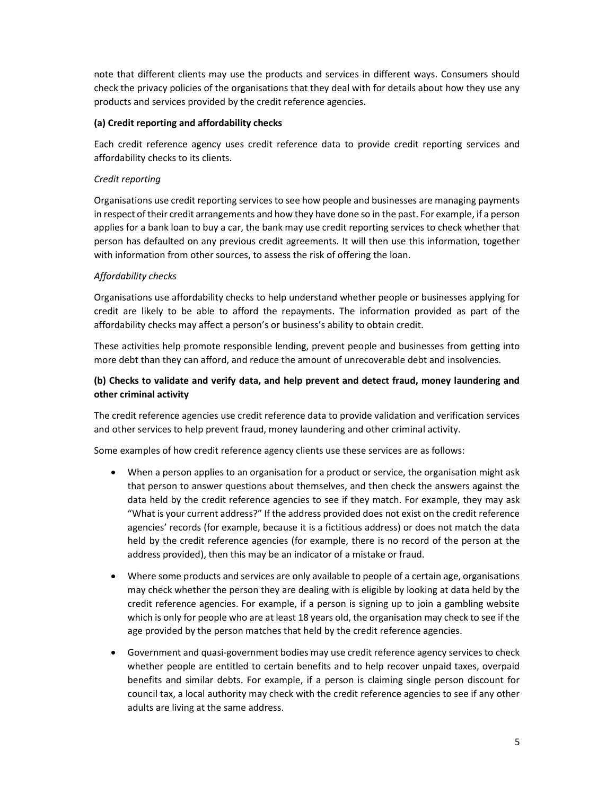note that different clients may use the products and services in different ways. Consumers should check the privacy policies of the organisations that they deal with for details about how they use any products and services provided by the credit reference agencies.

# (a) Credit reporting and affordability checks

Each credit reference agency uses credit reference data to provide credit reporting services and affordability checks to its clients.

# Credit reporting

Organisations use credit reporting services to see how people and businesses are managing payments in respect of their credit arrangements and how they have done so in the past. For example, if a person applies for a bank loan to buy a car, the bank may use credit reporting services to check whether that person has defaulted on any previous credit agreements. It will then use this information, together with information from other sources, to assess the risk of offering the loan.

# Affordability checks

Organisations use affordability checks to help understand whether people or businesses applying for credit are likely to be able to afford the repayments. The information provided as part of the affordability checks may affect a person's or business's ability to obtain credit.

These activities help promote responsible lending, prevent people and businesses from getting into more debt than they can afford, and reduce the amount of unrecoverable debt and insolvencies.

# (b) Checks to validate and verify data, and help prevent and detect fraud, money laundering and other criminal activity

The credit reference agencies use credit reference data to provide validation and verification services and other services to help prevent fraud, money laundering and other criminal activity.

Some examples of how credit reference agency clients use these services are as follows:

- When a person applies to an organisation for a product or service, the organisation might ask that person to answer questions about themselves, and then check the answers against the data held by the credit reference agencies to see if they match. For example, they may ask "What is your current address?" If the address provided does not exist on the credit reference agencies' records (for example, because it is a fictitious address) or does not match the data held by the credit reference agencies (for example, there is no record of the person at the address provided), then this may be an indicator of a mistake or fraud.
- Where some products and services are only available to people of a certain age, organisations may check whether the person they are dealing with is eligible by looking at data held by the credit reference agencies. For example, if a person is signing up to join a gambling website which is only for people who are at least 18 years old, the organisation may check to see if the age provided by the person matches that held by the credit reference agencies.
- Government and quasi-government bodies may use credit reference agency services to check whether people are entitled to certain benefits and to help recover unpaid taxes, overpaid benefits and similar debts. For example, if a person is claiming single person discount for council tax, a local authority may check with the credit reference agencies to see if any other adults are living at the same address.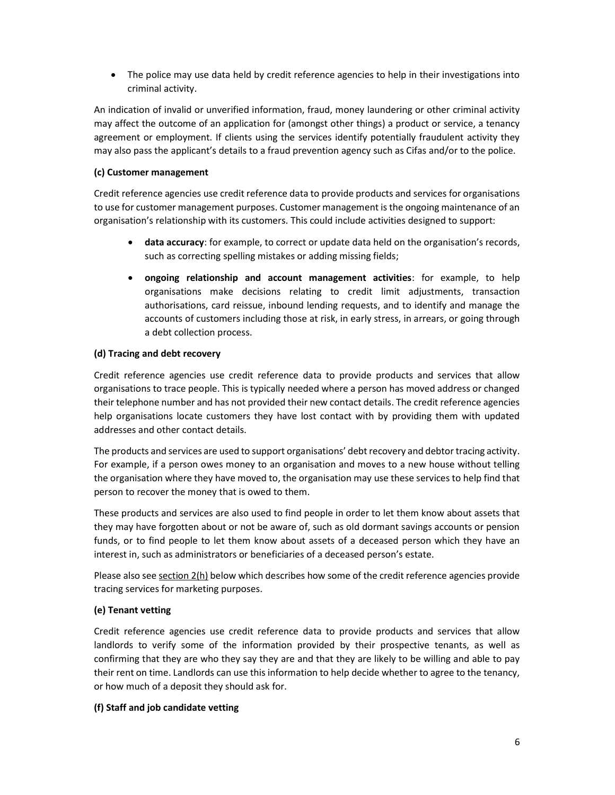The police may use data held by credit reference agencies to help in their investigations into criminal activity.

An indication of invalid or unverified information, fraud, money laundering or other criminal activity may affect the outcome of an application for (amongst other things) a product or service, a tenancy agreement or employment. If clients using the services identify potentially fraudulent activity they may also pass the applicant's details to a fraud prevention agency such as Cifas and/or to the police.

# (c) Customer management

Credit reference agencies use credit reference data to provide products and services for organisations to use for customer management purposes. Customer management is the ongoing maintenance of an organisation's relationship with its customers. This could include activities designed to support:

- data accuracy: for example, to correct or update data held on the organisation's records, such as correcting spelling mistakes or adding missing fields;
- ongoing relationship and account management activities: for example, to help organisations make decisions relating to credit limit adjustments, transaction authorisations, card reissue, inbound lending requests, and to identify and manage the accounts of customers including those at risk, in early stress, in arrears, or going through a debt collection process.

# (d) Tracing and debt recovery

Credit reference agencies use credit reference data to provide products and services that allow organisations to trace people. This is typically needed where a person has moved address or changed their telephone number and has not provided their new contact details. The credit reference agencies help organisations locate customers they have lost contact with by providing them with updated addresses and other contact details.

The products and services are used to support organisations' debt recovery and debtor tracing activity. For example, if a person owes money to an organisation and moves to a new house without telling the organisation where they have moved to, the organisation may use these services to help find that person to recover the money that is owed to them.

These products and services are also used to find people in order to let them know about assets that they may have forgotten about or not be aware of, such as old dormant savings accounts or pension funds, or to find people to let them know about assets of a deceased person which they have an interest in, such as administrators or beneficiaries of a deceased person's estate.

Please also see section 2(h) below which describes how some of the credit reference agencies provide tracing services for marketing purposes.

# (e) Tenant vetting

Credit reference agencies use credit reference data to provide products and services that allow landlords to verify some of the information provided by their prospective tenants, as well as confirming that they are who they say they are and that they are likely to be willing and able to pay their rent on time. Landlords can use this information to help decide whether to agree to the tenancy, or how much of a deposit they should ask for.

# (f) Staff and job candidate vetting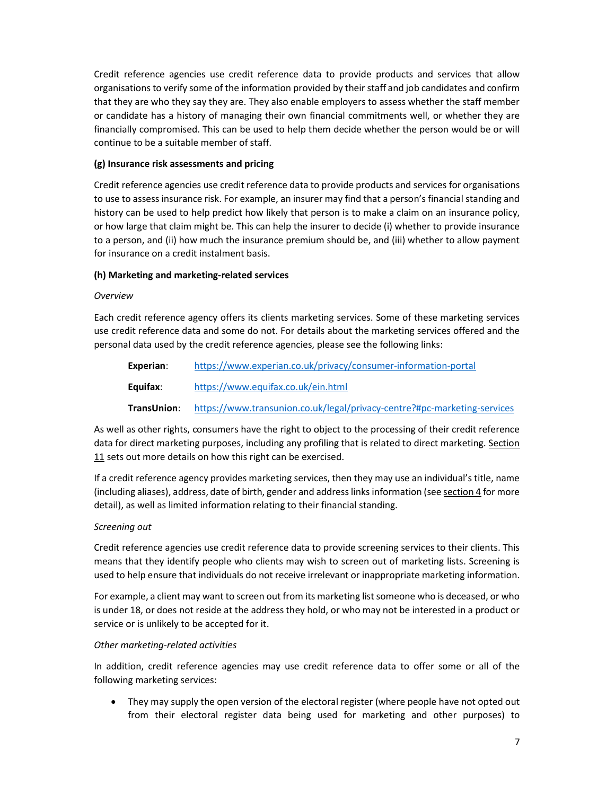Credit reference agencies use credit reference data to provide products and services that allow organisations to verify some of the information provided by their staff and job candidates and confirm that they are who they say they are. They also enable employers to assess whether the staff member or candidate has a history of managing their own financial commitments well, or whether they are financially compromised. This can be used to help them decide whether the person would be or will continue to be a suitable member of staff.

# (g) Insurance risk assessments and pricing

Credit reference agencies use credit reference data to provide products and services for organisations to use to assess insurance risk. For example, an insurer may find that a person's financial standing and history can be used to help predict how likely that person is to make a claim on an insurance policy, or how large that claim might be. This can help the insurer to decide (i) whether to provide insurance to a person, and (ii) how much the insurance premium should be, and (iii) whether to allow payment for insurance on a credit instalment basis.

# (h) Marketing and marketing-related services

## Overview

Each credit reference agency offers its clients marketing services. Some of these marketing services use credit reference data and some do not. For details about the marketing services offered and the personal data used by the credit reference agencies, please see the following links:

| Experian:   | https://www.experian.co.uk/privacy/consumer-information-portal           |
|-------------|--------------------------------------------------------------------------|
| Equifax:    | https://www.equifax.co.uk/ein.html                                       |
| TransUnion: | https://www.transunion.co.uk/legal/privacy-centre?#pc-marketing-services |

As well as other rights, consumers have the right to object to the processing of their credit reference data for direct marketing purposes, including any profiling that is related to direct marketing. Section 11 sets out more details on how this right can be exercised.

If a credit reference agency provides marketing services, then they may use an individual's title, name (including aliases), address, date of birth, gender and address links information (see section 4 for more detail), as well as limited information relating to their financial standing.

## Screening out

Credit reference agencies use credit reference data to provide screening services to their clients. This means that they identify people who clients may wish to screen out of marketing lists. Screening is used to help ensure that individuals do not receive irrelevant or inappropriate marketing information.

For example, a client may want to screen out from its marketing list someone who is deceased, or who is under 18, or does not reside at the address they hold, or who may not be interested in a product or service or is unlikely to be accepted for it.

## Other marketing-related activities

In addition, credit reference agencies may use credit reference data to offer some or all of the following marketing services:

• They may supply the open version of the electoral register (where people have not opted out from their electoral register data being used for marketing and other purposes) to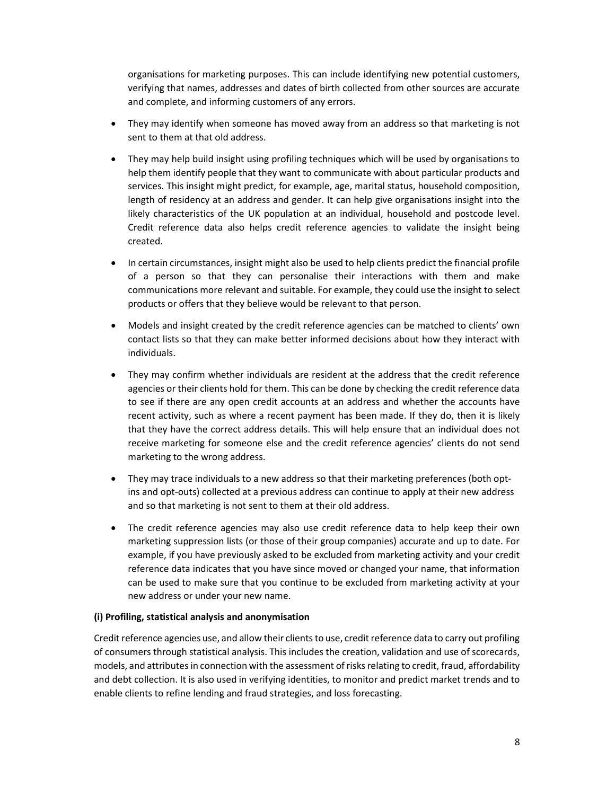organisations for marketing purposes. This can include identifying new potential customers, verifying that names, addresses and dates of birth collected from other sources are accurate and complete, and informing customers of any errors.

- They may identify when someone has moved away from an address so that marketing is not sent to them at that old address.
- They may help build insight using profiling techniques which will be used by organisations to help them identify people that they want to communicate with about particular products and services. This insight might predict, for example, age, marital status, household composition, length of residency at an address and gender. It can help give organisations insight into the likely characteristics of the UK population at an individual, household and postcode level. Credit reference data also helps credit reference agencies to validate the insight being created.
- In certain circumstances, insight might also be used to help clients predict the financial profile of a person so that they can personalise their interactions with them and make communications more relevant and suitable. For example, they could use the insight to select products or offers that they believe would be relevant to that person.
- Models and insight created by the credit reference agencies can be matched to clients' own contact lists so that they can make better informed decisions about how they interact with individuals.
- They may confirm whether individuals are resident at the address that the credit reference agencies or their clients hold for them. This can be done by checking the credit reference data to see if there are any open credit accounts at an address and whether the accounts have recent activity, such as where a recent payment has been made. If they do, then it is likely that they have the correct address details. This will help ensure that an individual does not receive marketing for someone else and the credit reference agencies' clients do not send marketing to the wrong address.
- They may trace individuals to a new address so that their marketing preferences (both optins and opt-outs) collected at a previous address can continue to apply at their new address and so that marketing is not sent to them at their old address.
- The credit reference agencies may also use credit reference data to help keep their own marketing suppression lists (or those of their group companies) accurate and up to date. For example, if you have previously asked to be excluded from marketing activity and your credit reference data indicates that you have since moved or changed your name, that information can be used to make sure that you continue to be excluded from marketing activity at your new address or under your new name.

## (i) Profiling, statistical analysis and anonymisation

Credit reference agencies use, and allow their clients to use, credit reference data to carry out profiling of consumers through statistical analysis. This includes the creation, validation and use of scorecards, models, and attributes in connection with the assessment of risks relating to credit, fraud, affordability and debt collection. It is also used in verifying identities, to monitor and predict market trends and to enable clients to refine lending and fraud strategies, and loss forecasting.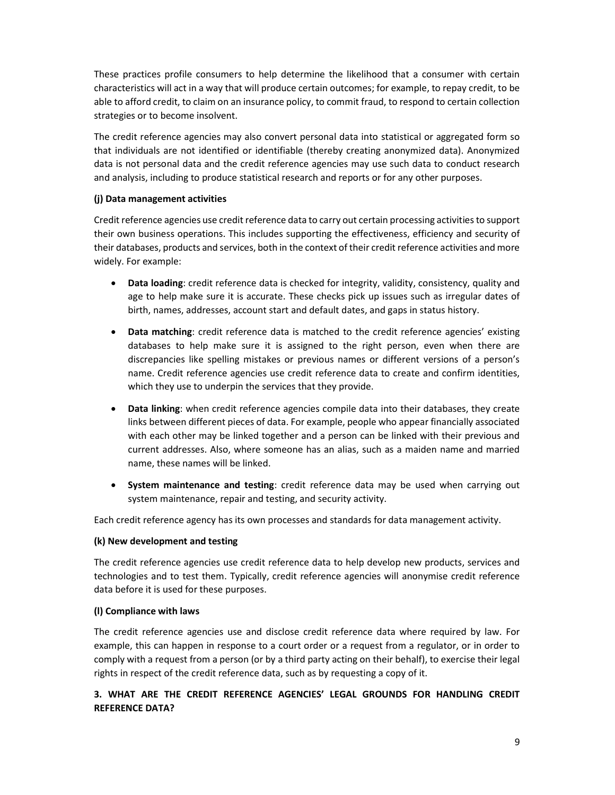These practices profile consumers to help determine the likelihood that a consumer with certain characteristics will act in a way that will produce certain outcomes; for example, to repay credit, to be able to afford credit, to claim on an insurance policy, to commit fraud, to respond to certain collection strategies or to become insolvent.

The credit reference agencies may also convert personal data into statistical or aggregated form so that individuals are not identified or identifiable (thereby creating anonymized data). Anonymized data is not personal data and the credit reference agencies may use such data to conduct research and analysis, including to produce statistical research and reports or for any other purposes.

# (j) Data management activities

Credit reference agencies use credit reference data to carry out certain processing activities to support their own business operations. This includes supporting the effectiveness, efficiency and security of their databases, products and services, both in the context of their credit reference activities and more widely. For example:

- Data loading: credit reference data is checked for integrity, validity, consistency, quality and age to help make sure it is accurate. These checks pick up issues such as irregular dates of birth, names, addresses, account start and default dates, and gaps in status history.
- Data matching: credit reference data is matched to the credit reference agencies' existing databases to help make sure it is assigned to the right person, even when there are discrepancies like spelling mistakes or previous names or different versions of a person's name. Credit reference agencies use credit reference data to create and confirm identities, which they use to underpin the services that they provide.
- Data linking: when credit reference agencies compile data into their databases, they create links between different pieces of data. For example, people who appear financially associated with each other may be linked together and a person can be linked with their previous and current addresses. Also, where someone has an alias, such as a maiden name and married name, these names will be linked.
- System maintenance and testing: credit reference data may be used when carrying out system maintenance, repair and testing, and security activity.

Each credit reference agency has its own processes and standards for data management activity.

## (k) New development and testing

The credit reference agencies use credit reference data to help develop new products, services and technologies and to test them. Typically, credit reference agencies will anonymise credit reference data before it is used for these purposes.

## (l) Compliance with laws

The credit reference agencies use and disclose credit reference data where required by law. For example, this can happen in response to a court order or a request from a regulator, or in order to comply with a request from a person (or by a third party acting on their behalf), to exercise their legal rights in respect of the credit reference data, such as by requesting a copy of it.

# 3. WHAT ARE THE CREDIT REFERENCE AGENCIES' LEGAL GROUNDS FOR HANDLING CREDIT REFERENCE DATA?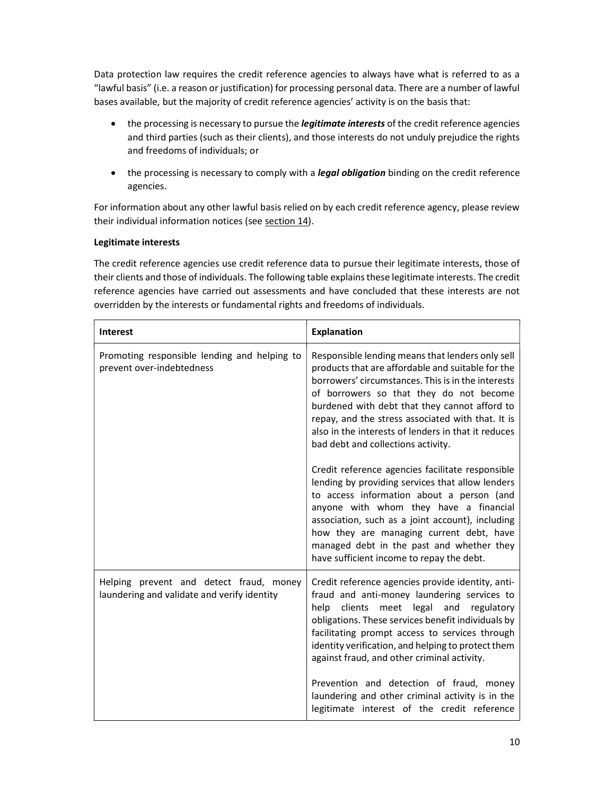Data protection law requires the credit reference agencies to always have what is referred to as a "lawful basis" (i.e. a reason or justification) for processing personal data. There are a number of lawful bases available, but the majority of credit reference agencies' activity is on the basis that:

- the processing is necessary to pursue the *legitimate interests* of the credit reference agencies and third parties (such as their clients), and those interests do not unduly prejudice the rights and freedoms of individuals; or
- the processing is necessary to comply with a legal obligation binding on the credit reference agencies.

For information about any other lawful basis relied on by each credit reference agency, please review their individual information notices (see section 14).

# Legitimate interests

The credit reference agencies use credit reference data to pursue their legitimate interests, those of their clients and those of individuals. The following table explains these legitimate interests. The credit reference agencies have carried out assessments and have concluded that these interests are not overridden by the interests or fundamental rights and freedoms of individuals.

| <b>Interest</b>                                                                        | <b>Explanation</b>                                                                                                                                                                                                                                                                                                                                                                                        |
|----------------------------------------------------------------------------------------|-----------------------------------------------------------------------------------------------------------------------------------------------------------------------------------------------------------------------------------------------------------------------------------------------------------------------------------------------------------------------------------------------------------|
| Promoting responsible lending and helping to<br>prevent over-indebtedness              | Responsible lending means that lenders only sell<br>products that are affordable and suitable for the<br>borrowers' circumstances. This is in the interests<br>of borrowers so that they do not become<br>burdened with debt that they cannot afford to<br>repay, and the stress associated with that. It is<br>also in the interests of lenders in that it reduces<br>bad debt and collections activity. |
|                                                                                        | Credit reference agencies facilitate responsible<br>lending by providing services that allow lenders<br>to access information about a person (and<br>anyone with whom they have a financial<br>association, such as a joint account), including<br>how they are managing current debt, have<br>managed debt in the past and whether they<br>have sufficient income to repay the debt.                     |
| Helping prevent and detect fraud, money<br>laundering and validate and verify identity | Credit reference agencies provide identity, anti-<br>fraud and anti-money laundering services to<br>help clients meet legal and regulatory<br>obligations. These services benefit individuals by<br>facilitating prompt access to services through<br>identity verification, and helping to protect them<br>against fraud, and other criminal activity.                                                   |
|                                                                                        | Prevention and detection of fraud, money<br>laundering and other criminal activity is in the<br>legitimate interest of the credit reference                                                                                                                                                                                                                                                               |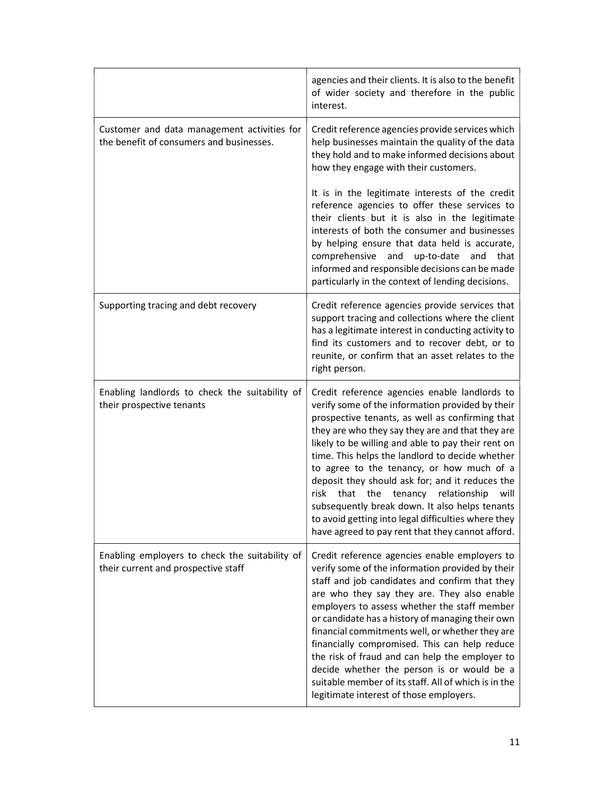|                                                                                         | agencies and their clients. It is also to the benefit<br>of wider society and therefore in the public<br>interest.                                                                                                                                                                                                                                                                                                                                                                                                                                                                                                                 |
|-----------------------------------------------------------------------------------------|------------------------------------------------------------------------------------------------------------------------------------------------------------------------------------------------------------------------------------------------------------------------------------------------------------------------------------------------------------------------------------------------------------------------------------------------------------------------------------------------------------------------------------------------------------------------------------------------------------------------------------|
| Customer and data management activities for<br>the benefit of consumers and businesses. | Credit reference agencies provide services which<br>help businesses maintain the quality of the data<br>they hold and to make informed decisions about<br>how they engage with their customers.                                                                                                                                                                                                                                                                                                                                                                                                                                    |
|                                                                                         | It is in the legitimate interests of the credit<br>reference agencies to offer these services to<br>their clients but it is also in the legitimate<br>interests of both the consumer and businesses<br>by helping ensure that data held is accurate,<br>comprehensive and up-to-date<br>and<br>that<br>informed and responsible decisions can be made<br>particularly in the context of lending decisions.                                                                                                                                                                                                                         |
| Supporting tracing and debt recovery                                                    | Credit reference agencies provide services that<br>support tracing and collections where the client<br>has a legitimate interest in conducting activity to<br>find its customers and to recover debt, or to<br>reunite, or confirm that an asset relates to the<br>right person.                                                                                                                                                                                                                                                                                                                                                   |
| Enabling landlords to check the suitability of<br>their prospective tenants             | Credit reference agencies enable landlords to<br>verify some of the information provided by their<br>prospective tenants, as well as confirming that<br>they are who they say they are and that they are<br>likely to be willing and able to pay their rent on<br>time. This helps the landlord to decide whether<br>to agree to the tenancy, or how much of a<br>deposit they should ask for; and it reduces the<br>risk<br>that<br>the tenancy relationship<br>will<br>subsequently break down. It also helps tenants<br>to avoid getting into legal difficulties where they<br>have agreed to pay rent that they cannot afford. |
| Enabling employers to check the suitability of<br>their current and prospective staff   | Credit reference agencies enable employers to<br>verify some of the information provided by their<br>staff and job candidates and confirm that they<br>are who they say they are. They also enable<br>employers to assess whether the staff member<br>or candidate has a history of managing their own<br>financial commitments well, or whether they are<br>financially compromised. This can help reduce<br>the risk of fraud and can help the employer to<br>decide whether the person is or would be a<br>suitable member of its staff. All of which is in the<br>legitimate interest of those employers.                      |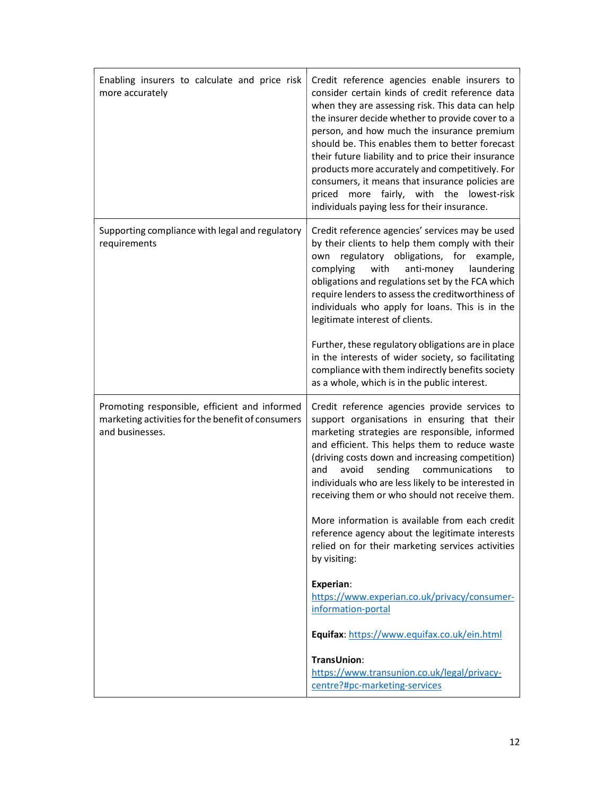| consider certain kinds of credit reference data<br>when they are assessing risk. This data can help<br>the insurer decide whether to provide cover to a<br>person, and how much the insurance premium<br>should be. This enables them to better forecast<br>their future liability and to price their insurance<br>products more accurately and competitively. For<br>consumers, it means that insurance policies are<br>fairly, with the lowest-risk<br>priced<br>more<br>individuals paying less for their insurance.                                                                                                                                                                                                                                                                           |
|---------------------------------------------------------------------------------------------------------------------------------------------------------------------------------------------------------------------------------------------------------------------------------------------------------------------------------------------------------------------------------------------------------------------------------------------------------------------------------------------------------------------------------------------------------------------------------------------------------------------------------------------------------------------------------------------------------------------------------------------------------------------------------------------------|
| Credit reference agencies' services may be used<br>by their clients to help them comply with their<br>regulatory obligations, for example,<br>own<br>complying<br>with<br>anti-money<br>laundering<br>obligations and regulations set by the FCA which<br>require lenders to assess the creditworthiness of<br>individuals who apply for loans. This is in the<br>legitimate interest of clients.<br>Further, these regulatory obligations are in place<br>in the interests of wider society, so facilitating<br>compliance with them indirectly benefits society<br>as a whole, which is in the public interest.                                                                                                                                                                                 |
| Credit reference agencies provide services to<br>support organisations in ensuring that their<br>marketing strategies are responsible, informed<br>and efficient. This helps them to reduce waste<br>(driving costs down and increasing competition)<br>avoid<br>communications<br>and<br>sending<br>to<br>individuals who are less likely to be interested in<br>receiving them or who should not receive them.<br>More information is available from each credit<br>reference agency about the legitimate interests<br>relied on for their marketing services activities<br>by visiting:<br>Experian:<br>https://www.experian.co.uk/privacy/consumer-<br>information-portal<br>Equifax: https://www.equifax.co.uk/ein.html<br><b>TransUnion:</b><br>https://www.transunion.co.uk/legal/privacy- |
| centre?#pc-marketing-services                                                                                                                                                                                                                                                                                                                                                                                                                                                                                                                                                                                                                                                                                                                                                                     |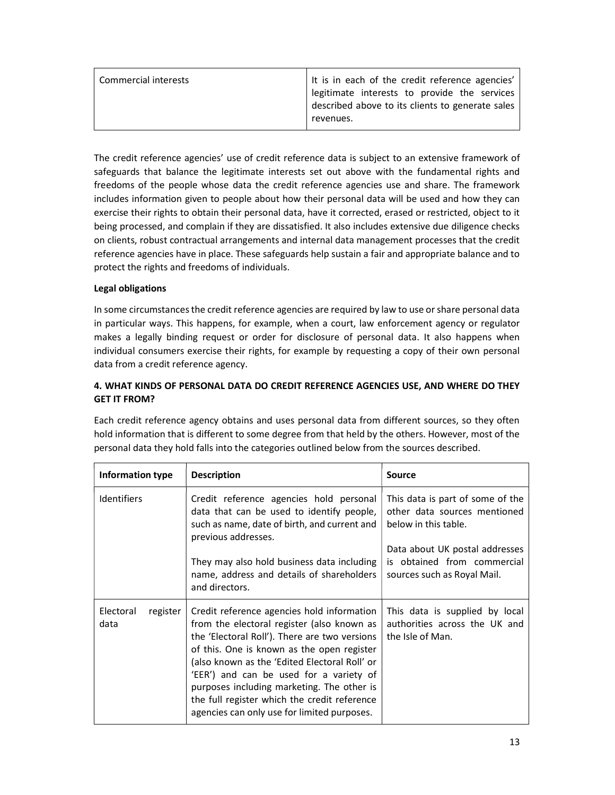| It is in each of the credit reference agencies'  |
|--------------------------------------------------|
| legitimate interests to provide the services     |
| described above to its clients to generate sales |
| revenues.                                        |
|                                                  |

The credit reference agencies' use of credit reference data is subject to an extensive framework of safeguards that balance the legitimate interests set out above with the fundamental rights and freedoms of the people whose data the credit reference agencies use and share. The framework includes information given to people about how their personal data will be used and how they can exercise their rights to obtain their personal data, have it corrected, erased or restricted, object to it being processed, and complain if they are dissatisfied. It also includes extensive due diligence checks on clients, robust contractual arrangements and internal data management processes that the credit reference agencies have in place. These safeguards help sustain a fair and appropriate balance and to protect the rights and freedoms of individuals.

# Legal obligations

In some circumstances the credit reference agencies are required by law to use or share personal data in particular ways. This happens, for example, when a court, law enforcement agency or regulator makes a legally binding request or order for disclosure of personal data. It also happens when individual consumers exercise their rights, for example by requesting a copy of their own personal data from a credit reference agency.

# 4. WHAT KINDS OF PERSONAL DATA DO CREDIT REFERENCE AGENCIES USE, AND WHERE DO THEY GET IT FROM?

Each credit reference agency obtains and uses personal data from different sources, so they often hold information that is different to some degree from that held by the others. However, most of the personal data they hold falls into the categories outlined below from the sources described.

| Information type              | <b>Description</b>                                                                                                                                                                                                                                                                                                                                                                                                               | <b>Source</b>                                                                                |
|-------------------------------|----------------------------------------------------------------------------------------------------------------------------------------------------------------------------------------------------------------------------------------------------------------------------------------------------------------------------------------------------------------------------------------------------------------------------------|----------------------------------------------------------------------------------------------|
| <b>Identifiers</b>            | Credit reference agencies hold personal<br>data that can be used to identify people,<br>such as name, date of birth, and current and<br>previous addresses.                                                                                                                                                                                                                                                                      | This data is part of some of the<br>other data sources mentioned<br>below in this table.     |
|                               | They may also hold business data including<br>name, address and details of shareholders<br>and directors.                                                                                                                                                                                                                                                                                                                        | Data about UK postal addresses<br>is obtained from commercial<br>sources such as Royal Mail. |
| Electoral<br>register<br>data | Credit reference agencies hold information<br>from the electoral register (also known as<br>the 'Electoral Roll'). There are two versions<br>of this. One is known as the open register<br>(also known as the 'Edited Electoral Roll' or<br>'EER') and can be used for a variety of<br>purposes including marketing. The other is<br>the full register which the credit reference<br>agencies can only use for limited purposes. | This data is supplied by local<br>authorities across the UK and<br>the Isle of Man.          |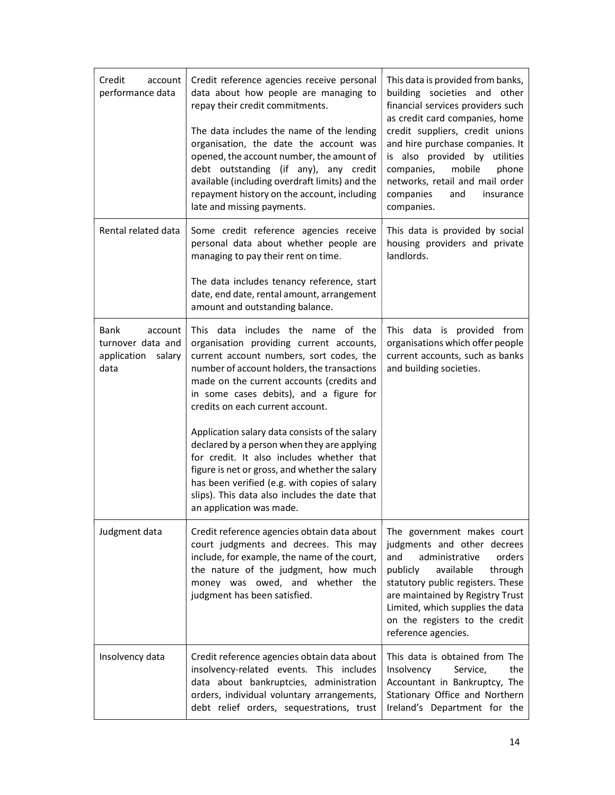| Credit<br>account<br>performance data              | Credit reference agencies receive personal<br>data about how people are managing to<br>repay their credit commitments.<br>The data includes the name of the lending<br>organisation, the date the account was<br>opened, the account number, the amount of<br>debt outstanding (if any), any credit<br>available (including overdraft limits) and the<br>repayment history on the account, including<br>late and missing payments.                                                                                                                                                            | This data is provided from banks,<br>building societies and other<br>financial services providers such<br>as credit card companies, home<br>credit suppliers, credit unions<br>and hire purchase companies. It<br>is also provided by utilities<br>mobile<br>companies,<br>phone<br>networks, retail and mail order<br>companies<br>and<br>insurance<br>companies. |
|----------------------------------------------------|-----------------------------------------------------------------------------------------------------------------------------------------------------------------------------------------------------------------------------------------------------------------------------------------------------------------------------------------------------------------------------------------------------------------------------------------------------------------------------------------------------------------------------------------------------------------------------------------------|--------------------------------------------------------------------------------------------------------------------------------------------------------------------------------------------------------------------------------------------------------------------------------------------------------------------------------------------------------------------|
| Rental related data                                | Some credit reference agencies receive<br>personal data about whether people are<br>managing to pay their rent on time.<br>The data includes tenancy reference, start<br>date, end date, rental amount, arrangement<br>amount and outstanding balance.                                                                                                                                                                                                                                                                                                                                        | This data is provided by social<br>housing providers and private<br>landlords.                                                                                                                                                                                                                                                                                     |
| <b>Bank</b><br>account                             | This data includes the name of the                                                                                                                                                                                                                                                                                                                                                                                                                                                                                                                                                            | This data is provided from                                                                                                                                                                                                                                                                                                                                         |
| turnover data and<br>application<br>salary<br>data | organisation providing current accounts,<br>current account numbers, sort codes, the<br>number of account holders, the transactions<br>made on the current accounts (credits and<br>in some cases debits), and a figure for<br>credits on each current account.<br>Application salary data consists of the salary<br>declared by a person when they are applying<br>for credit. It also includes whether that<br>figure is net or gross, and whether the salary<br>has been verified (e.g. with copies of salary<br>slips). This data also includes the date that<br>an application was made. | organisations which offer people<br>current accounts, such as banks<br>and building societies.                                                                                                                                                                                                                                                                     |
| Judgment data                                      | Credit reference agencies obtain data about<br>court judgments and decrees. This may<br>include, for example, the name of the court,<br>the nature of the judgment, how much<br>money was owed, and whether the<br>judgment has been satisfied.                                                                                                                                                                                                                                                                                                                                               | The government makes court<br>judgments and other decrees<br>administrative<br>orders<br>and<br>available<br>through<br>publicly<br>statutory public registers. These<br>are maintained by Registry Trust<br>Limited, which supplies the data<br>on the registers to the credit<br>reference agencies.                                                             |
| Insolvency data                                    | Credit reference agencies obtain data about<br>insolvency-related events. This includes<br>data about bankruptcies, administration<br>orders, individual voluntary arrangements,<br>debt relief orders, sequestrations, trust                                                                                                                                                                                                                                                                                                                                                                 | This data is obtained from The<br>Insolvency<br>the<br>Service,<br>Accountant in Bankruptcy, The<br>Stationary Office and Northern<br>Ireland's Department for the                                                                                                                                                                                                 |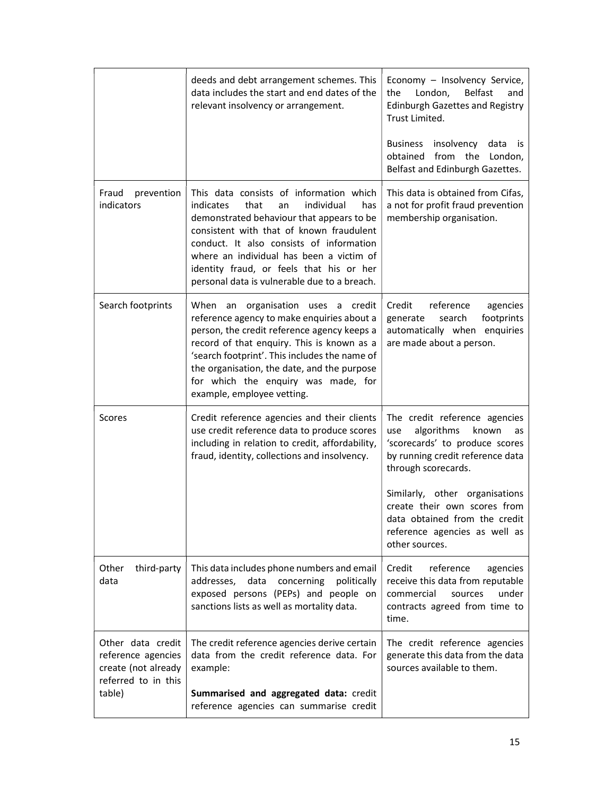|                                                                                                 | deeds and debt arrangement schemes. This<br>data includes the start and end dates of the<br>relevant insolvency or arrangement.                                                                                                                                                                                                                                      | Economy - Insolvency Service,<br>the<br>London,<br><b>Belfast</b><br>and<br><b>Edinburgh Gazettes and Registry</b><br>Trust Limited.<br>insolvency<br><b>Business</b><br>data<br>İS<br>obtained<br>from the<br>London,<br>Belfast and Edinburgh Gazettes.                                                            |
|-------------------------------------------------------------------------------------------------|----------------------------------------------------------------------------------------------------------------------------------------------------------------------------------------------------------------------------------------------------------------------------------------------------------------------------------------------------------------------|----------------------------------------------------------------------------------------------------------------------------------------------------------------------------------------------------------------------------------------------------------------------------------------------------------------------|
| Fraud<br>prevention<br>indicators                                                               | This data consists of information which<br>indicates<br>that<br>individual<br>has<br>an<br>demonstrated behaviour that appears to be<br>consistent with that of known fraudulent<br>conduct. It also consists of information<br>where an individual has been a victim of<br>identity fraud, or feels that his or her<br>personal data is vulnerable due to a breach. | This data is obtained from Cifas,<br>a not for profit fraud prevention<br>membership organisation.                                                                                                                                                                                                                   |
| Search footprints                                                                               | an organisation uses a credit<br>When<br>reference agency to make enquiries about a<br>person, the credit reference agency keeps a<br>record of that enquiry. This is known as a<br>'search footprint'. This includes the name of<br>the organisation, the date, and the purpose<br>for which the enquiry was made, for<br>example, employee vetting.                | Credit<br>reference<br>agencies<br>footprints<br>generate<br>search<br>automatically when enquiries<br>are made about a person.                                                                                                                                                                                      |
| Scores                                                                                          | Credit reference agencies and their clients<br>use credit reference data to produce scores<br>including in relation to credit, affordability,<br>fraud, identity, collections and insolvency.                                                                                                                                                                        | The credit reference agencies<br>algorithms<br>known<br>use<br>as<br>'scorecards' to produce scores<br>by running credit reference data<br>through scorecards.<br>Similarly, other organisations<br>create their own scores from<br>data obtained from the credit<br>reference agencies as well as<br>other sources. |
| Other<br>third-party<br>data                                                                    | This data includes phone numbers and email<br>addresses.<br>data<br>concerning<br>politically<br>exposed persons (PEPs) and people on<br>sanctions lists as well as mortality data.                                                                                                                                                                                  | reference<br>Credit<br>agencies<br>receive this data from reputable<br>commercial<br>under<br>sources<br>contracts agreed from time to<br>time.                                                                                                                                                                      |
| Other data credit<br>reference agencies<br>create (not already<br>referred to in this<br>table) | The credit reference agencies derive certain<br>data from the credit reference data. For<br>example:<br>Summarised and aggregated data: credit<br>reference agencies can summarise credit                                                                                                                                                                            | The credit reference agencies<br>generate this data from the data<br>sources available to them.                                                                                                                                                                                                                      |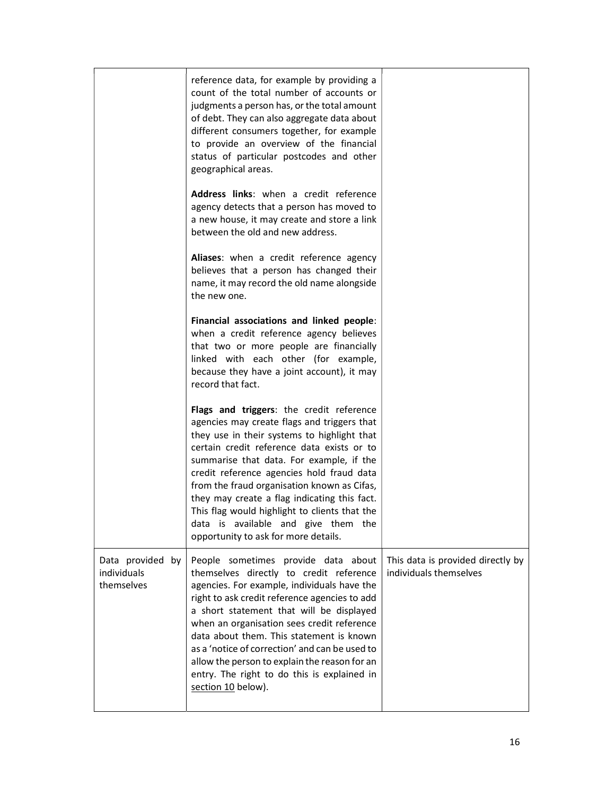|                                               | reference data, for example by providing a<br>count of the total number of accounts or<br>judgments a person has, or the total amount<br>of debt. They can also aggregate data about<br>different consumers together, for example<br>to provide an overview of the financial<br>status of particular postcodes and other<br>geographical areas.                                                                                                                                                              |                                                             |
|-----------------------------------------------|--------------------------------------------------------------------------------------------------------------------------------------------------------------------------------------------------------------------------------------------------------------------------------------------------------------------------------------------------------------------------------------------------------------------------------------------------------------------------------------------------------------|-------------------------------------------------------------|
|                                               | Address links: when a credit reference<br>agency detects that a person has moved to<br>a new house, it may create and store a link<br>between the old and new address.                                                                                                                                                                                                                                                                                                                                       |                                                             |
|                                               | Aliases: when a credit reference agency<br>believes that a person has changed their<br>name, it may record the old name alongside<br>the new one.                                                                                                                                                                                                                                                                                                                                                            |                                                             |
|                                               | Financial associations and linked people:<br>when a credit reference agency believes<br>that two or more people are financially<br>linked with each other (for example,<br>because they have a joint account), it may<br>record that fact.                                                                                                                                                                                                                                                                   |                                                             |
|                                               | Flags and triggers: the credit reference<br>agencies may create flags and triggers that<br>they use in their systems to highlight that<br>certain credit reference data exists or to<br>summarise that data. For example, if the<br>credit reference agencies hold fraud data<br>from the fraud organisation known as Cifas,<br>they may create a flag indicating this fact.<br>This flag would highlight to clients that the<br>data is available and give them the<br>opportunity to ask for more details. |                                                             |
| Data provided by<br>individuals<br>themselves | People sometimes provide data about<br>themselves directly to credit reference<br>agencies. For example, individuals have the<br>right to ask credit reference agencies to add<br>a short statement that will be displayed<br>when an organisation sees credit reference<br>data about them. This statement is known<br>as a 'notice of correction' and can be used to<br>allow the person to explain the reason for an<br>entry. The right to do this is explained in<br>section 10 below).                 | This data is provided directly by<br>individuals themselves |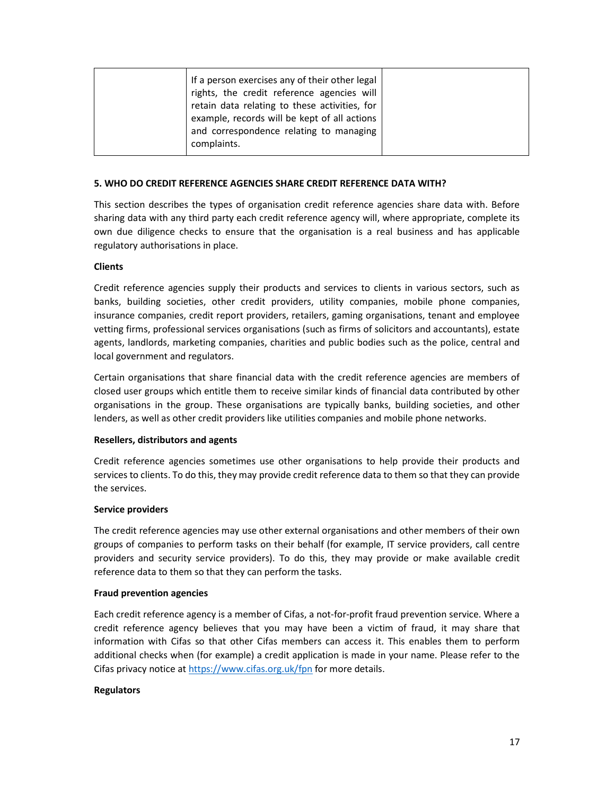| example, records will be kept of all actions<br>and correspondence relating to managing<br>complaints. |
|--------------------------------------------------------------------------------------------------------|
|--------------------------------------------------------------------------------------------------------|

### 5. WHO DO CREDIT REFERENCE AGENCIES SHARE CREDIT REFERENCE DATA WITH?

This section describes the types of organisation credit reference agencies share data with. Before sharing data with any third party each credit reference agency will, where appropriate, complete its own due diligence checks to ensure that the organisation is a real business and has applicable regulatory authorisations in place.

#### Clients

Credit reference agencies supply their products and services to clients in various sectors, such as banks, building societies, other credit providers, utility companies, mobile phone companies, insurance companies, credit report providers, retailers, gaming organisations, tenant and employee vetting firms, professional services organisations (such as firms of solicitors and accountants), estate agents, landlords, marketing companies, charities and public bodies such as the police, central and local government and regulators.

Certain organisations that share financial data with the credit reference agencies are members of closed user groups which entitle them to receive similar kinds of financial data contributed by other organisations in the group. These organisations are typically banks, building societies, and other lenders, as well as other credit providers like utilities companies and mobile phone networks.

#### Resellers, distributors and agents

Credit reference agencies sometimes use other organisations to help provide their products and services to clients. To do this, they may provide credit reference data to them so that they can provide the services.

#### Service providers

The credit reference agencies may use other external organisations and other members of their own groups of companies to perform tasks on their behalf (for example, IT service providers, call centre providers and security service providers). To do this, they may provide or make available credit reference data to them so that they can perform the tasks.

#### Fraud prevention agencies

Each credit reference agency is a member of Cifas, a not-for-profit fraud prevention service. Where a credit reference agency believes that you may have been a victim of fraud, it may share that information with Cifas so that other Cifas members can access it. This enables them to perform additional checks when (for example) a credit application is made in your name. Please refer to the Cifas privacy notice at https://www.cifas.org.uk/fpn for more details.

## **Regulators**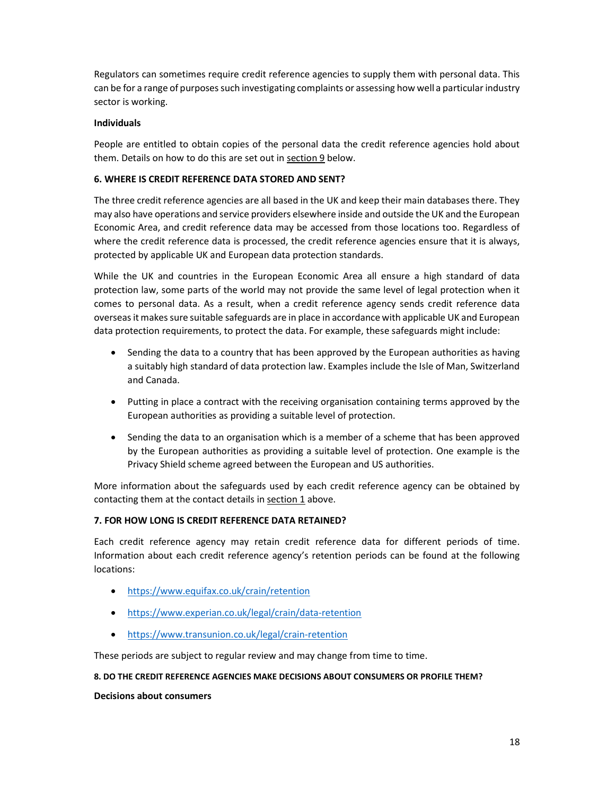Regulators can sometimes require credit reference agencies to supply them with personal data. This can be for a range of purposes such investigating complaints or assessing how well a particular industry sector is working.

## Individuals

People are entitled to obtain copies of the personal data the credit reference agencies hold about them. Details on how to do this are set out in section 9 below.

# 6. WHERE IS CREDIT REFERENCE DATA STORED AND SENT?

The three credit reference agencies are all based in the UK and keep their main databases there. They may also have operations and service providers elsewhere inside and outside the UK and the European Economic Area, and credit reference data may be accessed from those locations too. Regardless of where the credit reference data is processed, the credit reference agencies ensure that it is always, protected by applicable UK and European data protection standards.

While the UK and countries in the European Economic Area all ensure a high standard of data protection law, some parts of the world may not provide the same level of legal protection when it comes to personal data. As a result, when a credit reference agency sends credit reference data overseas it makes sure suitable safeguards are in place in accordance with applicable UK and European data protection requirements, to protect the data. For example, these safeguards might include:

- Sending the data to a country that has been approved by the European authorities as having a suitably high standard of data protection law. Examples include the Isle of Man, Switzerland and Canada.
- Putting in place a contract with the receiving organisation containing terms approved by the European authorities as providing a suitable level of protection.
- Sending the data to an organisation which is a member of a scheme that has been approved by the European authorities as providing a suitable level of protection. One example is the Privacy Shield scheme agreed between the European and US authorities.

More information about the safeguards used by each credit reference agency can be obtained by contacting them at the contact details in section 1 above.

# 7. FOR HOW LONG IS CREDIT REFERENCE DATA RETAINED?

Each credit reference agency may retain credit reference data for different periods of time. Information about each credit reference agency's retention periods can be found at the following locations:

- https://www.equifax.co.uk/crain/retention
- https://www.experian.co.uk/legal/crain/data-retention
- https://www.transunion.co.uk/legal/crain-retention

These periods are subject to regular review and may change from time to time.

## 8. DO THE CREDIT REFERENCE AGENCIES MAKE DECISIONS ABOUT CONSUMERS OR PROFILE THEM?

Decisions about consumers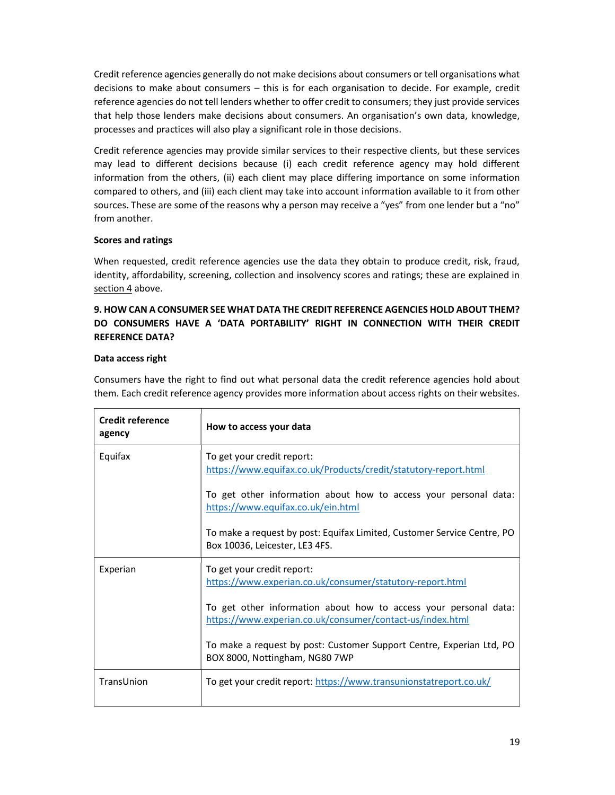Credit reference agencies generally do not make decisions about consumers or tell organisations what decisions to make about consumers – this is for each organisation to decide. For example, credit reference agencies do not tell lenders whether to offer credit to consumers; they just provide services that help those lenders make decisions about consumers. An organisation's own data, knowledge, processes and practices will also play a significant role in those decisions.

Credit reference agencies may provide similar services to their respective clients, but these services may lead to different decisions because (i) each credit reference agency may hold different information from the others, (ii) each client may place differing importance on some information compared to others, and (iii) each client may take into account information available to it from other sources. These are some of the reasons why a person may receive a "yes" from one lender but a "no" from another.

# Scores and ratings

When requested, credit reference agencies use the data they obtain to produce credit, risk, fraud, identity, affordability, screening, collection and insolvency scores and ratings; these are explained in section 4 above.

# 9. HOW CAN A CONSUMER SEE WHAT DATA THE CREDIT REFERENCE AGENCIES HOLD ABOUT THEM? DO CONSUMERS HAVE A 'DATA PORTABILITY' RIGHT IN CONNECTION WITH THEIR CREDIT REFERENCE DATA?

# Data access right

Consumers have the right to find out what personal data the credit reference agencies hold about them. Each credit reference agency provides more information about access rights on their websites.

| <b>Credit reference</b><br>agency | How to access your data                                                                                                       |
|-----------------------------------|-------------------------------------------------------------------------------------------------------------------------------|
| Equifax                           | To get your credit report:<br>https://www.equifax.co.uk/Products/credit/statutory-report.html                                 |
|                                   | To get other information about how to access your personal data:<br>https://www.equifax.co.uk/ein.html                        |
|                                   | To make a request by post: Equifax Limited, Customer Service Centre, PO<br>Box 10036, Leicester, LE3 4FS.                     |
| Experian                          | To get your credit report:<br>https://www.experian.co.uk/consumer/statutory-report.html                                       |
|                                   | To get other information about how to access your personal data:<br>https://www.experian.co.uk/consumer/contact-us/index.html |
|                                   | To make a request by post: Customer Support Centre, Experian Ltd, PO<br>BOX 8000, Nottingham, NG80 7WP                        |
| TransUnion                        | To get your credit report: https://www.transunionstatreport.co.uk/                                                            |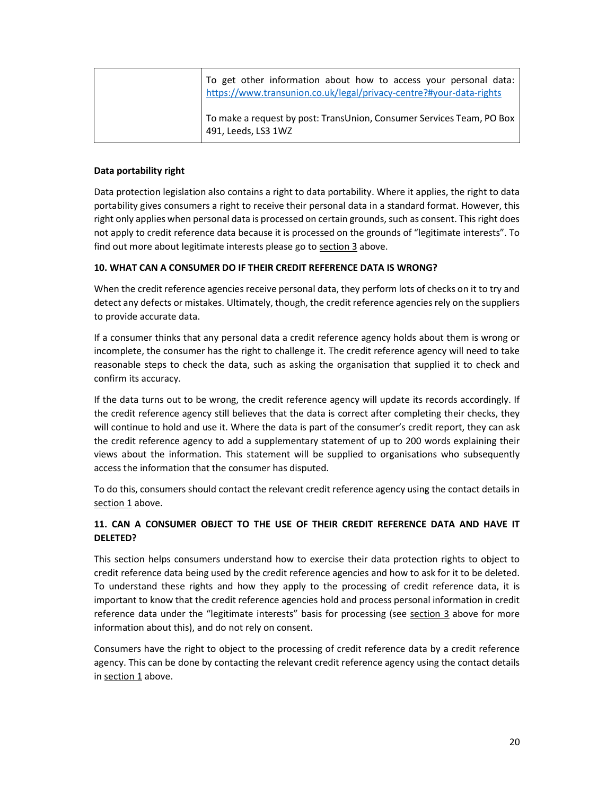| To get other information about how to access your personal data:<br>https://www.transunion.co.uk/legal/privacy-centre?#your-data-rights |
|-----------------------------------------------------------------------------------------------------------------------------------------|
| To make a request by post: TransUnion, Consumer Services Team, PO Box<br>491, Leeds, LS3 1WZ                                            |

# Data portability right

Data protection legislation also contains a right to data portability. Where it applies, the right to data portability gives consumers a right to receive their personal data in a standard format. However, this right only applies when personal data is processed on certain grounds, such as consent. This right does not apply to credit reference data because it is processed on the grounds of "legitimate interests". To find out more about legitimate interests please go to section 3 above.

# 10. WHAT CAN A CONSUMER DO IF THEIR CREDIT REFERENCE DATA IS WRONG?

When the credit reference agencies receive personal data, they perform lots of checks on it to try and detect any defects or mistakes. Ultimately, though, the credit reference agencies rely on the suppliers to provide accurate data.

If a consumer thinks that any personal data a credit reference agency holds about them is wrong or incomplete, the consumer has the right to challenge it. The credit reference agency will need to take reasonable steps to check the data, such as asking the organisation that supplied it to check and confirm its accuracy.

If the data turns out to be wrong, the credit reference agency will update its records accordingly. If the credit reference agency still believes that the data is correct after completing their checks, they will continue to hold and use it. Where the data is part of the consumer's credit report, they can ask the credit reference agency to add a supplementary statement of up to 200 words explaining their views about the information. This statement will be supplied to organisations who subsequently access the information that the consumer has disputed.

To do this, consumers should contact the relevant credit reference agency using the contact details in section 1 above.

# 11. CAN A CONSUMER OBJECT TO THE USE OF THEIR CREDIT REFERENCE DATA AND HAVE IT DELETED?

This section helps consumers understand how to exercise their data protection rights to object to credit reference data being used by the credit reference agencies and how to ask for it to be deleted. To understand these rights and how they apply to the processing of credit reference data, it is important to know that the credit reference agencies hold and process personal information in credit reference data under the "legitimate interests" basis for processing (see section 3 above for more information about this), and do not rely on consent.

Consumers have the right to object to the processing of credit reference data by a credit reference agency. This can be done by contacting the relevant credit reference agency using the contact details in section 1 above.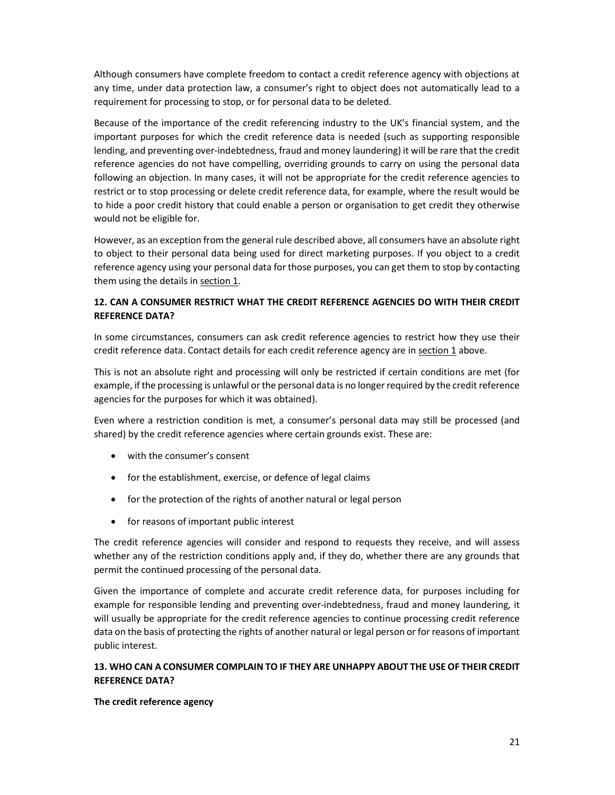Although consumers have complete freedom to contact a credit reference agency with objections at any time, under data protection law, a consumer's right to object does not automatically lead to a requirement for processing to stop, or for personal data to be deleted.

Because of the importance of the credit referencing industry to the UK's financial system, and the important purposes for which the credit reference data is needed (such as supporting responsible lending, and preventing over-indebtedness, fraud and money laundering) it will be rare that the credit reference agencies do not have compelling, overriding grounds to carry on using the personal data following an objection. In many cases, it will not be appropriate for the credit reference agencies to restrict or to stop processing or delete credit reference data, for example, where the result would be to hide a poor credit history that could enable a person or organisation to get credit they otherwise would not be eligible for.

However, as an exception from the general rule described above, all consumers have an absolute right to object to their personal data being used for direct marketing purposes. If you object to a credit reference agency using your personal data for those purposes, you can get them to stop by contacting them using the details in section 1.

# 12. CAN A CONSUMER RESTRICT WHAT THE CREDIT REFERENCE AGENCIES DO WITH THEIR CREDIT REFERENCE DATA?

In some circumstances, consumers can ask credit reference agencies to restrict how they use their credit reference data. Contact details for each credit reference agency are in section 1 above.

This is not an absolute right and processing will only be restricted if certain conditions are met (for example, if the processing is unlawful or the personal data is no longer required by the credit reference agencies for the purposes for which it was obtained).

Even where a restriction condition is met, a consumer's personal data may still be processed (and shared) by the credit reference agencies where certain grounds exist. These are:

- with the consumer's consent
- for the establishment, exercise, or defence of legal claims
- for the protection of the rights of another natural or legal person
- for reasons of important public interest

The credit reference agencies will consider and respond to requests they receive, and will assess whether any of the restriction conditions apply and, if they do, whether there are any grounds that permit the continued processing of the personal data.

Given the importance of complete and accurate credit reference data, for purposes including for example for responsible lending and preventing over-indebtedness, fraud and money laundering, it will usually be appropriate for the credit reference agencies to continue processing credit reference data on the basis of protecting the rights of another natural or legal person or for reasons of important public interest.

# 13. WHO CAN A CONSUMER COMPLAIN TO IF THEY ARE UNHAPPY ABOUT THE USE OF THEIR CREDIT REFERENCE DATA?

## The credit reference agency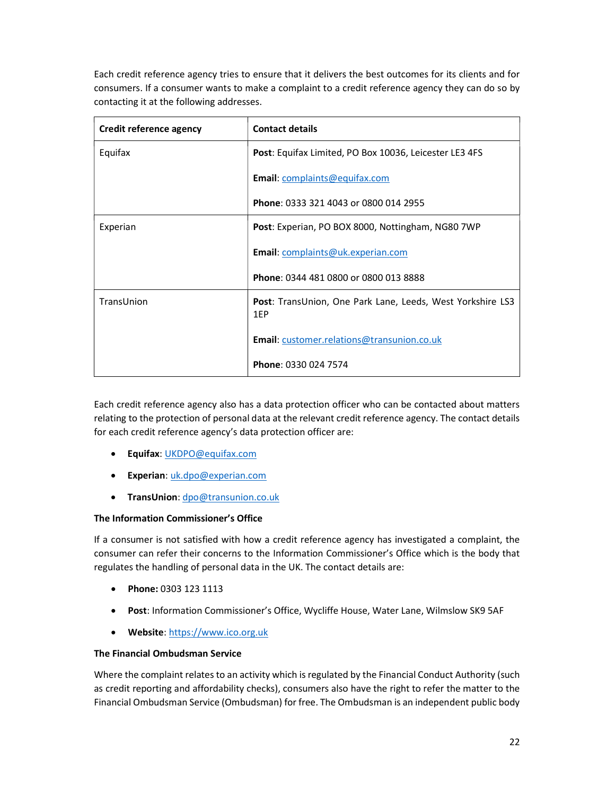Each credit reference agency tries to ensure that it delivers the best outcomes for its clients and for consumers. If a consumer wants to make a complaint to a credit reference agency they can do so by contacting it at the following addresses.

| Credit reference agency | <b>Contact details</b>                                                   |
|-------------------------|--------------------------------------------------------------------------|
| Equifax                 | Post: Equifax Limited, PO Box 10036, Leicester LE3 4FS                   |
|                         | Email: complaints@equifax.com                                            |
|                         | Phone: 0333 321 4043 or 0800 014 2955                                    |
| Experian                | Post: Experian, PO BOX 8000, Nottingham, NG80 7WP                        |
|                         | Email: complaints@uk.experian.com                                        |
|                         | Phone: 0344 481 0800 or 0800 013 8888                                    |
| TransUnion              | <b>Post:</b> TransUnion, One Park Lane, Leeds, West Yorkshire LS3<br>1EP |
|                         | Email: customer.relations@transunion.co.uk                               |
|                         | Phone: 0330 024 7574                                                     |

Each credit reference agency also has a data protection officer who can be contacted about matters relating to the protection of personal data at the relevant credit reference agency. The contact details for each credit reference agency's data protection officer are:

- **•** Equifax: UKDPO@equifax.com
- **Experian:** uk.dpo@experian.com
- TransUnion: dpo@transunion.co.uk

# The Information Commissioner's Office

If a consumer is not satisfied with how a credit reference agency has investigated a complaint, the consumer can refer their concerns to the Information Commissioner's Office which is the body that regulates the handling of personal data in the UK. The contact details are:

- Phone: 0303 123 1113
- Post: Information Commissioner's Office, Wycliffe House, Water Lane, Wilmslow SK9 5AF
- Website: https://www.ico.org.uk

# The Financial Ombudsman Service

Where the complaint relates to an activity which is regulated by the Financial Conduct Authority (such as credit reporting and affordability checks), consumers also have the right to refer the matter to the Financial Ombudsman Service (Ombudsman) for free. The Ombudsman is an independent public body